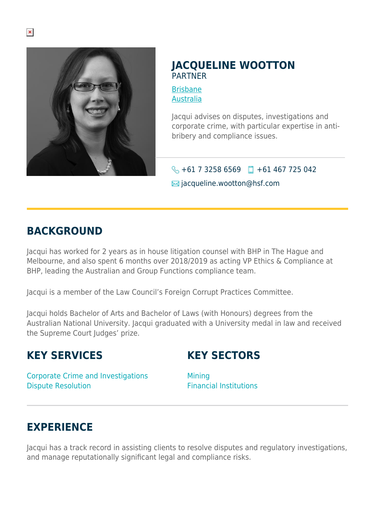

### **JACQUELINE WOOTTON PARTNER**

[Brisbane](https://www.herbertsmithfreehills.com/lang-de/where-we-work/brisbane) [Australia](https://www.herbertsmithfreehills.com/lang-de/where-we-work/australia)

Jacqui advises on disputes, investigations and corporate crime, with particular expertise in antibribery and compliance issues.

# $\bigodot$  +61 7 3258 6569 +61 467 725 042

 $\boxtimes$  jacqueline.wootton@hsf.com

### **BACKGROUND**

Jacqui has worked for 2 years as in house litigation counsel with BHP in The Hague and Melbourne, and also spent 6 months over 2018/2019 as acting VP Ethics & Compliance at BHP, leading the Australian and Group Functions compliance team.

Jacqui is a member of the Law Council's Foreign Corrupt Practices Committee.

Jacqui holds Bachelor of Arts and Bachelor of Laws (with Honours) degrees from the Australian National University. Jacqui graduated with a University medal in law and received the Supreme Court Judges' prize.

# **KEY SERVICES**

# **KEY SECTORS**

Corporate Crime and Investigations Dispute Resolution

**Mining** Financial Institutions

# **EXPERIENCE**

Jacqui has a track record in assisting clients to resolve disputes and regulatory investigations, and manage reputationally significant legal and compliance risks.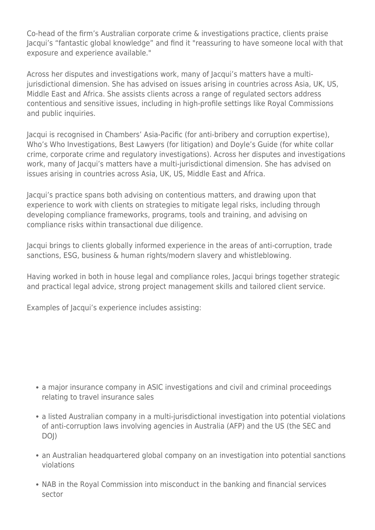Co-head of the firm's Australian corporate crime & investigations practice, clients praise Jacqui's "fantastic global knowledge" and find it "reassuring to have someone local with that exposure and experience available."

Across her disputes and investigations work, many of Jacqui's matters have a multijurisdictional dimension. She has advised on issues arising in countries across Asia, UK, US, Middle East and Africa. She assists clients across a range of regulated sectors address contentious and sensitive issues, including in high-profile settings like Royal Commissions and public inquiries.

Jacqui is recognised in Chambers' Asia-Pacific (for anti-bribery and corruption expertise), Who's Who Investigations, Best Lawyers (for litigation) and Doyle's Guide (for white collar crime, corporate crime and regulatory investigations). Across her disputes and investigations work, many of Jacqui's matters have a multi-jurisdictional dimension. She has advised on issues arising in countries across Asia, UK, US, Middle East and Africa.

Jacqui's practice spans both advising on contentious matters, and drawing upon that experience to work with clients on strategies to mitigate legal risks, including through developing compliance frameworks, programs, tools and training, and advising on compliance risks within transactional due diligence.

Jacqui brings to clients globally informed experience in the areas of anti-corruption, trade sanctions, ESG, business & human rights/modern slavery and whistleblowing.

Having worked in both in house legal and compliance roles, Jacqui brings together strategic and practical legal advice, strong project management skills and tailored client service.

Examples of Jacqui's experience includes assisting:

- a major insurance company in ASIC investigations and civil and criminal proceedings relating to travel insurance sales
- a listed Australian company in a multi-jurisdictional investigation into potential violations of anti-corruption laws involving agencies in Australia (AFP) and the US (the SEC and DOJ)
- an Australian headquartered global company on an investigation into potential sanctions violations
- NAB in the Royal Commission into misconduct in the banking and financial services sector